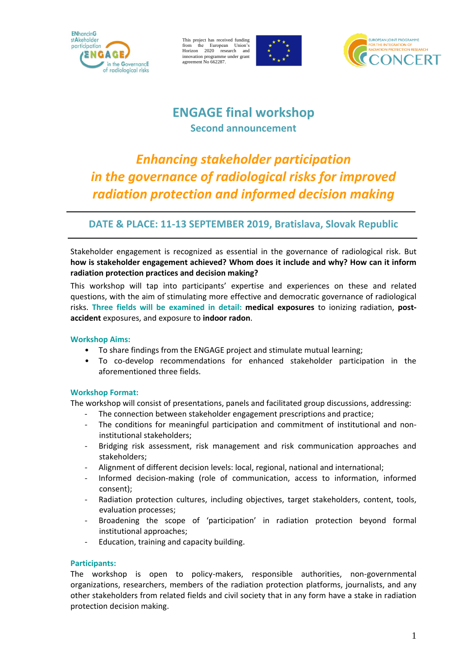

This project has received funding from the European Union's Horizon 2020 research and innovation programme under grant agreement No 662287.





## **ENGAGE final workshop Second announcement**

# *Enhancing stakeholder participation in the governance of radiological risks for improved radiation protection and informed decision making*

### **DATE & PLACE: 11-13 SEPTEMBER 2019, Bratislava, Slovak Republic**

Stakeholder engagement is recognized as essential in the governance of radiological risk. But **how is stakeholder engagement achieved? Whom does it include and why? How can it inform radiation protection practices and decision making?**

This workshop will tap into participants' expertise and experiences on these and related questions, with the aim of stimulating more effective and democratic governance of radiological risks. **Three fields will be examined in detail: medical exposures** to ionizing radiation, **postaccident** exposures, and exposure to **indoor radon**.

#### **Workshop Aims:**

- To share findings from the ENGAGE project and stimulate mutual learning;
- To co-develop recommendations for enhanced stakeholder participation in the aforementioned three fields.

#### **Workshop Format:**

The workshop will consist of presentations, panels and facilitated group discussions, addressing:

- The connection between stakeholder engagement prescriptions and practice;
- The conditions for meaningful participation and commitment of institutional and noninstitutional stakeholders;
- Bridging risk assessment, risk management and risk communication approaches and stakeholders;
- Alignment of different decision levels: local, regional, national and international;
- Informed decision-making (role of communication, access to information, informed consent);
- Radiation protection cultures, including objectives, target stakeholders, content, tools, evaluation processes;
- Broadening the scope of 'participation' in radiation protection beyond formal institutional approaches;
- Education, training and capacity building.

#### **Participants:**

The workshop is open to policy-makers, responsible authorities, non-governmental organizations, researchers, members of the radiation protection platforms, journalists, and any other stakeholders from related fields and civil society that in any form have a stake in radiation protection decision making.